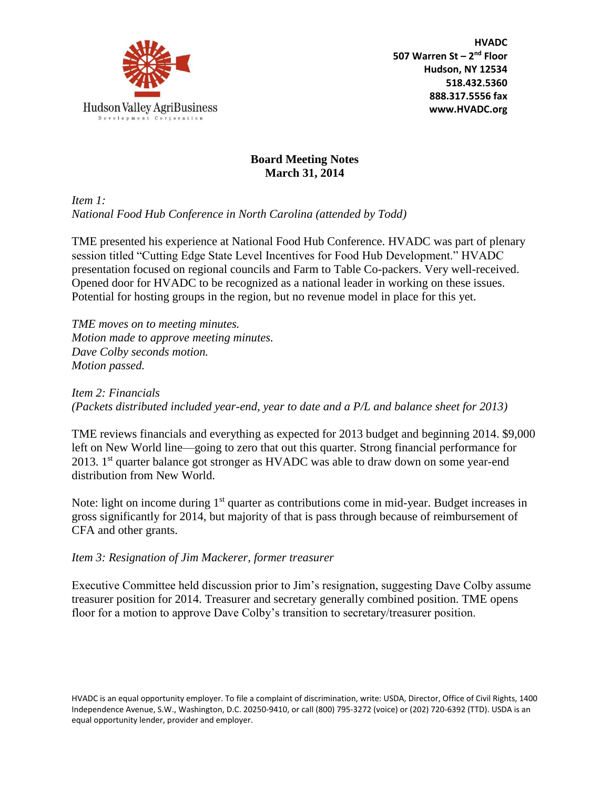

## **Board Meeting Notes March 31, 2014**

*Item 1: National Food Hub Conference in North Carolina (attended by Todd)*

TME presented his experience at National Food Hub Conference. HVADC was part of plenary session titled "Cutting Edge State Level Incentives for Food Hub Development." HVADC presentation focused on regional councils and Farm to Table Co-packers. Very well-received. Opened door for HVADC to be recognized as a national leader in working on these issues. Potential for hosting groups in the region, but no revenue model in place for this yet.

*TME moves on to meeting minutes. Motion made to approve meeting minutes. Dave Colby seconds motion. Motion passed.* 

*Item 2: Financials (Packets distributed included year-end, year to date and a P/L and balance sheet for 2013)*

TME reviews financials and everything as expected for 2013 budget and beginning 2014. \$9,000 left on New World line—going to zero that out this quarter. Strong financial performance for 2013. 1<sup>st</sup> quarter balance got stronger as HVADC was able to draw down on some year-end distribution from New World.

Note: light on income during 1<sup>st</sup> quarter as contributions come in mid-year. Budget increases in gross significantly for 2014, but majority of that is pass through because of reimbursement of CFA and other grants.

*Item 3: Resignation of Jim Mackerer, former treasurer*

Executive Committee held discussion prior to Jim's resignation, suggesting Dave Colby assume treasurer position for 2014. Treasurer and secretary generally combined position. TME opens floor for a motion to approve Dave Colby's transition to secretary/treasurer position.

HVADC is an equal opportunity employer. To file a complaint of discrimination, write: USDA, Director, Office of Civil Rights, 1400 Independence Avenue, S.W., Washington, D.C. 20250-9410, or call (800) 795-3272 (voice) or (202) 720-6392 (TTD). USDA is an equal opportunity lender, provider and employer.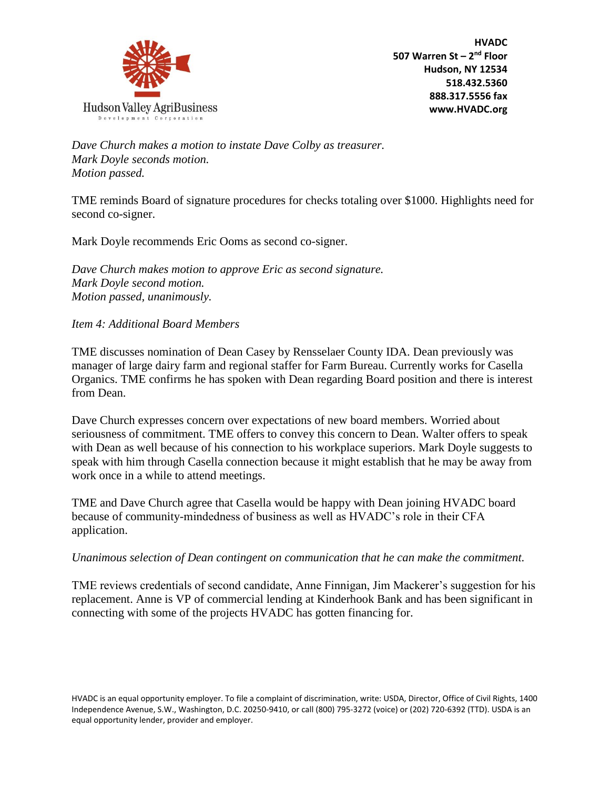

*Dave Church makes a motion to instate Dave Colby as treasurer. Mark Doyle seconds motion. Motion passed.*

TME reminds Board of signature procedures for checks totaling over \$1000. Highlights need for second co-signer.

Mark Doyle recommends Eric Ooms as second co-signer.

*Dave Church makes motion to approve Eric as second signature. Mark Doyle second motion. Motion passed, unanimously.* 

*Item 4: Additional Board Members*

TME discusses nomination of Dean Casey by Rensselaer County IDA. Dean previously was manager of large dairy farm and regional staffer for Farm Bureau. Currently works for Casella Organics. TME confirms he has spoken with Dean regarding Board position and there is interest from Dean.

Dave Church expresses concern over expectations of new board members. Worried about seriousness of commitment. TME offers to convey this concern to Dean. Walter offers to speak with Dean as well because of his connection to his workplace superiors. Mark Doyle suggests to speak with him through Casella connection because it might establish that he may be away from work once in a while to attend meetings.

TME and Dave Church agree that Casella would be happy with Dean joining HVADC board because of community-mindedness of business as well as HVADC's role in their CFA application.

*Unanimous selection of Dean contingent on communication that he can make the commitment.* 

TME reviews credentials of second candidate, Anne Finnigan, Jim Mackerer's suggestion for his replacement. Anne is VP of commercial lending at Kinderhook Bank and has been significant in connecting with some of the projects HVADC has gotten financing for.

HVADC is an equal opportunity employer. To file a complaint of discrimination, write: USDA, Director, Office of Civil Rights, 1400 Independence Avenue, S.W., Washington, D.C. 20250-9410, or call (800) 795-3272 (voice) or (202) 720-6392 (TTD). USDA is an equal opportunity lender, provider and employer.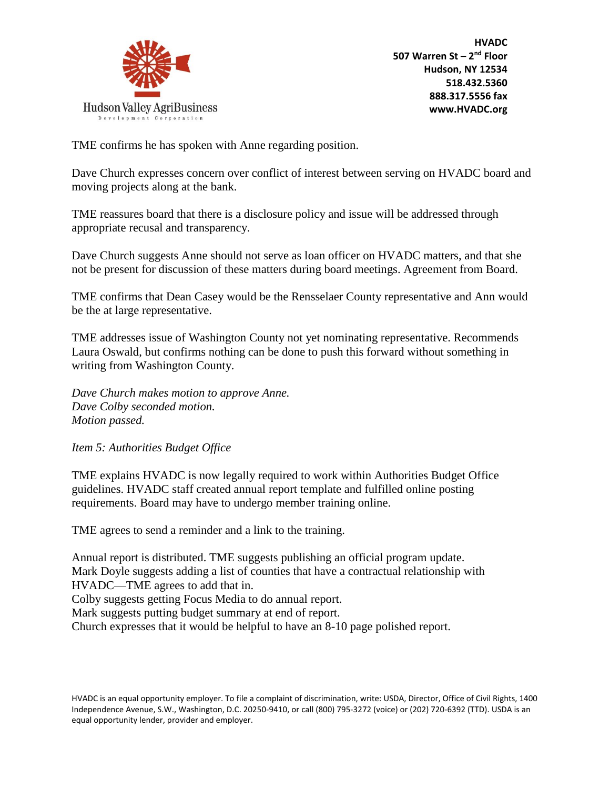

TME confirms he has spoken with Anne regarding position.

Dave Church expresses concern over conflict of interest between serving on HVADC board and moving projects along at the bank.

TME reassures board that there is a disclosure policy and issue will be addressed through appropriate recusal and transparency.

Dave Church suggests Anne should not serve as loan officer on HVADC matters, and that she not be present for discussion of these matters during board meetings. Agreement from Board.

TME confirms that Dean Casey would be the Rensselaer County representative and Ann would be the at large representative.

TME addresses issue of Washington County not yet nominating representative. Recommends Laura Oswald, but confirms nothing can be done to push this forward without something in writing from Washington County.

*Dave Church makes motion to approve Anne. Dave Colby seconded motion. Motion passed.* 

*Item 5: Authorities Budget Office*

TME explains HVADC is now legally required to work within Authorities Budget Office guidelines. HVADC staff created annual report template and fulfilled online posting requirements. Board may have to undergo member training online.

TME agrees to send a reminder and a link to the training.

Annual report is distributed. TME suggests publishing an official program update. Mark Doyle suggests adding a list of counties that have a contractual relationship with HVADC—TME agrees to add that in. Colby suggests getting Focus Media to do annual report. Mark suggests putting budget summary at end of report. Church expresses that it would be helpful to have an 8-10 page polished report.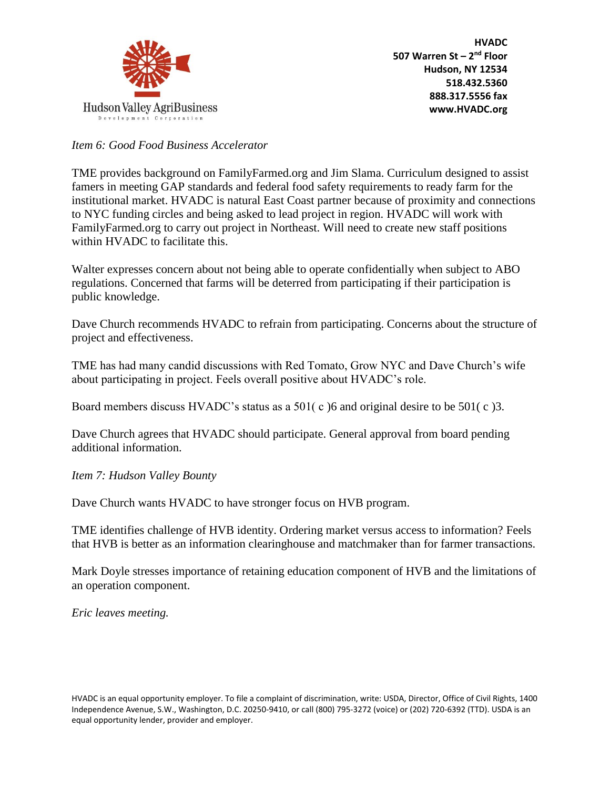

*Item 6: Good Food Business Accelerator*

TME provides background on FamilyFarmed.org and Jim Slama. Curriculum designed to assist famers in meeting GAP standards and federal food safety requirements to ready farm for the institutional market. HVADC is natural East Coast partner because of proximity and connections to NYC funding circles and being asked to lead project in region. HVADC will work with FamilyFarmed.org to carry out project in Northeast. Will need to create new staff positions within HVADC to facilitate this.

Walter expresses concern about not being able to operate confidentially when subject to ABO regulations. Concerned that farms will be deterred from participating if their participation is public knowledge.

Dave Church recommends HVADC to refrain from participating. Concerns about the structure of project and effectiveness.

TME has had many candid discussions with Red Tomato, Grow NYC and Dave Church's wife about participating in project. Feels overall positive about HVADC's role.

Board members discuss HVADC's status as a 501( c )6 and original desire to be 501( c )3.

Dave Church agrees that HVADC should participate. General approval from board pending additional information.

*Item 7: Hudson Valley Bounty*

Dave Church wants HVADC to have stronger focus on HVB program.

TME identifies challenge of HVB identity. Ordering market versus access to information? Feels that HVB is better as an information clearinghouse and matchmaker than for farmer transactions.

Mark Doyle stresses importance of retaining education component of HVB and the limitations of an operation component.

*Eric leaves meeting.*